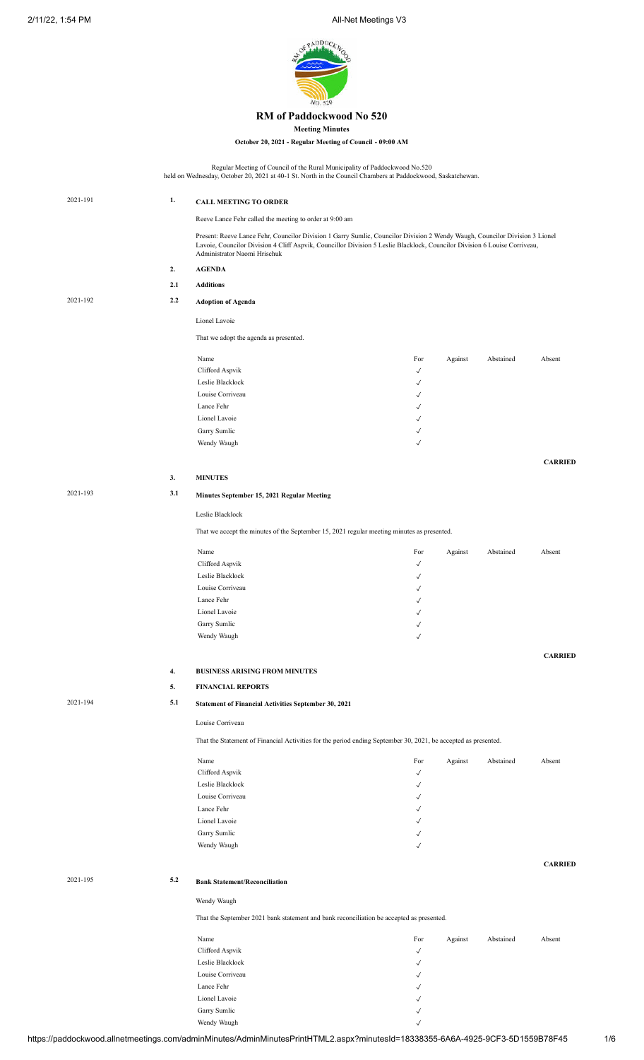2/11/22, 1:54 PM **All-Net Meetings V3** 



## **RM of Paddockwood No 520**

**Meeting Minutes**

**October 20, 2021 - Regular Meeting of Council - 09:00 AM**

Regular Meeting of Council of the Rural Municipality of Paddockwood No.520

held on Wednesday, October 20, 2021 at 40-1 St. North in the Council Chambers at Paddockwood, Saskatchewan. 2021-191 **1. CALL MEETING TO ORDER** Reeve Lance Fehr called the meeting to order at 9:00 am Present: Reeve Lance Fehr, Councilor Division 1 Garry Sumlic, Councilor Division 2 Wendy Waugh, Councilor Division 3 Lionel Lavoie, Councilor Division 4 Cliff Aspvik, Councillor Division 5 Leslie Blacklock, Councilor Division 6 Louise Corriveau, Administrator Naomi Hrischuk **2. AGENDA 2.1 Additions** 2021-192 **2.2 Adoption of Agenda** Lionel Lavoie That we adopt the agenda as presented. Name **For** Against Abstained Absent Clifford Aspvik Leslie Blacklock ✓ Louise Corriveau  $\checkmark$ Lance Fehr  $\checkmark$ Lionel Lavoie  $\checkmark$ Garry Sumlic Wendy Waugh **CARRIED 3. MINUTES** 2021-193 **3.1 Minutes September 15, 2021 Regular Meeting** Leslie Blacklock That we accept the minutes of the September 15, 2021 regular meeting minutes as presented. Name **For** Against Abstained Absent  $Clifford$  Aspvik  $\checkmark$ Leslie Blacklock  $\checkmark$ Louise Corriveau ✓ Lance Fehr  $\sqrt{ }$ Lionel Lavoie  $\sqrt{ }$ Garry Sumlic  $\checkmark$ Wendy Waugh **CARRIED 4. BUSINESS ARISING FROM MINUTES 5. FINANCIAL REPORTS** 2021-194 **5.1 Statement of Financial Activities September 30, 2021** Louise Corriveau That the Statement of Financial Activities for the period ending September 30, 2021, be accepted as presented. Name **For** Against Abstained Absent Clifford Aspvik  $\hspace{0.1 cm} \checkmark$ Leslie Blacklock  $\checkmark$ Louise Corriveau  $\checkmark$ Lance Fehr  $\checkmark$ Lionel Lavoie  $\sqrt{ }$ Garry Sumlic  $\checkmark$ Wendy Waugh **CARRIED** 2021-195 **5.2 Bank Statement/Reconciliation** Wendy Waugh That the September 2021 bank statement and bank reconciliation be accepted as presented. Name **Name** Abstained Absent Abstained Abstained Abstained Abstained Abstained Abstained Abstained Abstained Abstained Abstained Abstained Abstained Abstained Abstained Abstained Abstained Abstained Abstained Abstained Abs Clifford Aspvik  $\checkmark$ Leslie Blacklock ✓ Louise Corriveau ✓ Lance Fehr  $\checkmark$ Lionel Lavoie  $\sqrt{ }$ 

Garry Sumlic  $\sqrt{ }$ 

Wendy Waugh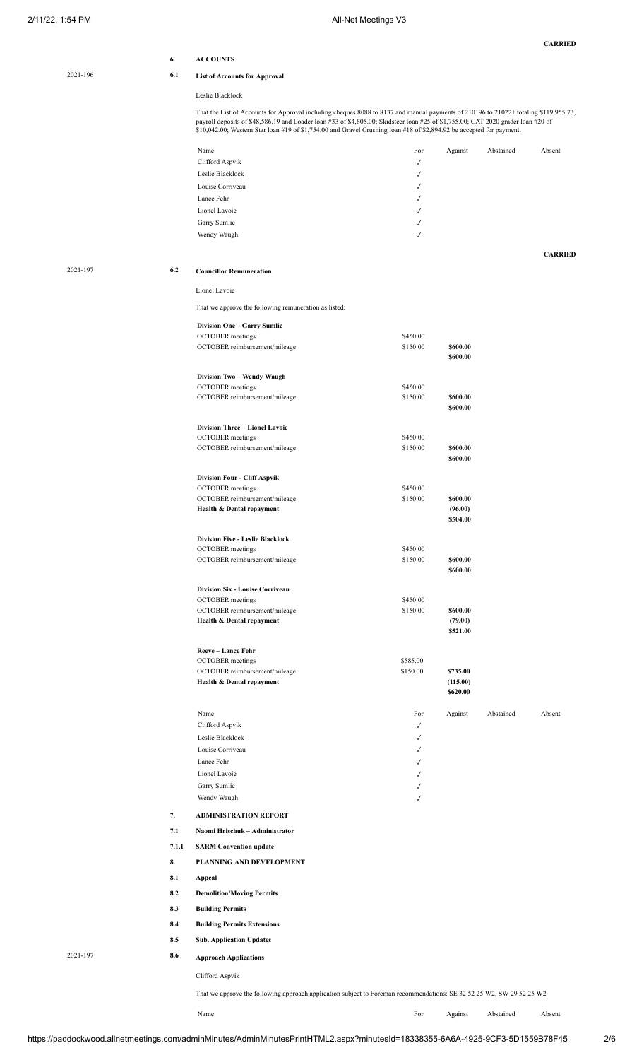|          |            |                                                                                                                                                                                                                                                                                                                                                                                                  |                      |                      |           | <b>CARRIED</b> |
|----------|------------|--------------------------------------------------------------------------------------------------------------------------------------------------------------------------------------------------------------------------------------------------------------------------------------------------------------------------------------------------------------------------------------------------|----------------------|----------------------|-----------|----------------|
|          | 6.         | <b>ACCOUNTS</b>                                                                                                                                                                                                                                                                                                                                                                                  |                      |                      |           |                |
| 2021-196 | 6.1        | <b>List of Accounts for Approval</b>                                                                                                                                                                                                                                                                                                                                                             |                      |                      |           |                |
|          |            | Leslie Blacklock                                                                                                                                                                                                                                                                                                                                                                                 |                      |                      |           |                |
|          |            | That the List of Accounts for Approval including cheques 8088 to 8137 and manual payments of 210196 to 210221 totaling \$119,955.73,<br>payroll deposits of \$48,586.19 and Loader loan #33 of \$4,605.00; Skidsteer loan #25 of \$1,755.00; CAT 2020 grader loan #20 of<br>\$10,042.00; Western Star loan #19 of \$1,754.00 and Gravel Crushing loan #18 of \$2,894.92 be accepted for payment. |                      |                      |           |                |
|          |            | Name                                                                                                                                                                                                                                                                                                                                                                                             | For                  | Against              | Abstained | Absent         |
|          |            | Clifford Aspvik                                                                                                                                                                                                                                                                                                                                                                                  | $\checkmark$         |                      |           |                |
|          |            | Leslie Blacklock                                                                                                                                                                                                                                                                                                                                                                                 | ✓                    |                      |           |                |
|          |            | Louise Corriveau                                                                                                                                                                                                                                                                                                                                                                                 | √                    |                      |           |                |
|          |            | Lance Fehr                                                                                                                                                                                                                                                                                                                                                                                       | √                    |                      |           |                |
|          |            | Lionel Lavoie                                                                                                                                                                                                                                                                                                                                                                                    | $\checkmark$         |                      |           |                |
|          |            | Garry Sumlic<br>Wendy Waugh                                                                                                                                                                                                                                                                                                                                                                      | √<br>√               |                      |           |                |
|          |            |                                                                                                                                                                                                                                                                                                                                                                                                  |                      |                      |           | <b>CARRIED</b> |
| 2021-197 | 6.2        | <b>Councillor Remuneration</b>                                                                                                                                                                                                                                                                                                                                                                   |                      |                      |           |                |
|          |            | Lionel Lavoie                                                                                                                                                                                                                                                                                                                                                                                    |                      |                      |           |                |
|          |            | That we approve the following remuneration as listed:                                                                                                                                                                                                                                                                                                                                            |                      |                      |           |                |
|          |            | <b>Division One - Garry Sumlic</b><br><b>OCTOBER</b> meetings                                                                                                                                                                                                                                                                                                                                    | \$450.00             |                      |           |                |
|          |            | OCTOBER reimbursement/mileage                                                                                                                                                                                                                                                                                                                                                                    | \$150.00             | \$600.00             |           |                |
|          |            |                                                                                                                                                                                                                                                                                                                                                                                                  |                      | \$600.00             |           |                |
|          |            | Division Two - Wendy Waugh<br><b>OCTOBER</b> meetings                                                                                                                                                                                                                                                                                                                                            | \$450.00             |                      |           |                |
|          |            | OCTOBER reimbursement/mileage                                                                                                                                                                                                                                                                                                                                                                    | \$150.00             | \$600.00             |           |                |
|          |            |                                                                                                                                                                                                                                                                                                                                                                                                  |                      | \$600.00             |           |                |
|          |            | Division Three - Lionel Lavoie                                                                                                                                                                                                                                                                                                                                                                   |                      |                      |           |                |
|          |            | <b>OCTOBER</b> meetings<br>OCTOBER reimbursement/mileage                                                                                                                                                                                                                                                                                                                                         | \$450.00<br>\$150.00 | \$600.00             |           |                |
|          |            |                                                                                                                                                                                                                                                                                                                                                                                                  |                      | \$600.00             |           |                |
|          |            | <b>Division Four - Cliff Aspvik</b>                                                                                                                                                                                                                                                                                                                                                              |                      |                      |           |                |
|          |            | <b>OCTOBER</b> meetings                                                                                                                                                                                                                                                                                                                                                                          | \$450.00<br>\$150.00 | \$600.00             |           |                |
|          |            | OCTOBER reimbursement/mileage<br>Health & Dental repayment                                                                                                                                                                                                                                                                                                                                       |                      | (96.00)<br>\$504.00  |           |                |
|          |            | <b>Division Five - Leslie Blacklock</b>                                                                                                                                                                                                                                                                                                                                                          |                      |                      |           |                |
|          |            | <b>OCTOBER</b> meetings                                                                                                                                                                                                                                                                                                                                                                          | \$450.00             |                      |           |                |
|          |            | OCTOBER reimbursement/mileage                                                                                                                                                                                                                                                                                                                                                                    | \$150.00             | \$600.00<br>\$600.00 |           |                |
|          |            | Division Six - Louise Corriveau                                                                                                                                                                                                                                                                                                                                                                  |                      |                      |           |                |
|          |            | <b>OCTOBER</b> meetings<br>OCTOBER reimbursement/mileage                                                                                                                                                                                                                                                                                                                                         | \$450.00<br>\$150.00 | \$600.00             |           |                |
|          |            | Health & Dental repayment                                                                                                                                                                                                                                                                                                                                                                        |                      | (79.00)<br>\$521.00  |           |                |
|          |            | Reeve-Lance Fehr                                                                                                                                                                                                                                                                                                                                                                                 |                      |                      |           |                |
|          |            | <b>OCTOBER</b> meetings                                                                                                                                                                                                                                                                                                                                                                          | \$585.00             |                      |           |                |
|          |            | OCTOBER reimbursement/mileage<br>Health & Dental repayment                                                                                                                                                                                                                                                                                                                                       | \$150.00             | \$735.00<br>(115.00) |           |                |
|          |            |                                                                                                                                                                                                                                                                                                                                                                                                  |                      | \$620.00             |           |                |
|          |            | Name                                                                                                                                                                                                                                                                                                                                                                                             | For                  | Against              | Abstained | Absent         |
|          |            | Clifford Aspvik                                                                                                                                                                                                                                                                                                                                                                                  | $\checkmark$         |                      |           |                |
|          |            | Leslie Blacklock<br>Louise Corriveau                                                                                                                                                                                                                                                                                                                                                             | ✓                    |                      |           |                |
|          |            | Lance Fehr                                                                                                                                                                                                                                                                                                                                                                                       | √<br>√               |                      |           |                |
|          |            | Lionel Lavoie                                                                                                                                                                                                                                                                                                                                                                                    | √                    |                      |           |                |
|          |            | Garry Sumlic                                                                                                                                                                                                                                                                                                                                                                                     | √                    |                      |           |                |
|          |            | Wendy Waugh                                                                                                                                                                                                                                                                                                                                                                                      | √                    |                      |           |                |
|          | 7.         | <b>ADMINISTRATION REPORT</b>                                                                                                                                                                                                                                                                                                                                                                     |                      |                      |           |                |
|          | 7.1        | Naomi Hrischuk - Administrator                                                                                                                                                                                                                                                                                                                                                                   |                      |                      |           |                |
|          | 7.1.1      | <b>SARM Convention update</b>                                                                                                                                                                                                                                                                                                                                                                    |                      |                      |           |                |
|          | 8.         | PLANNING AND DEVELOPMENT                                                                                                                                                                                                                                                                                                                                                                         |                      |                      |           |                |
|          | 8.1<br>8.2 | Appeal                                                                                                                                                                                                                                                                                                                                                                                           |                      |                      |           |                |
|          | 8.3        | <b>Demolition/Moving Permits</b><br><b>Building Permits</b>                                                                                                                                                                                                                                                                                                                                      |                      |                      |           |                |
|          | 8.4        | <b>Building Permits Extensions</b>                                                                                                                                                                                                                                                                                                                                                               |                      |                      |           |                |
|          | 8.5        | <b>Sub. Application Updates</b>                                                                                                                                                                                                                                                                                                                                                                  |                      |                      |           |                |
| 2021-197 | 8.6        | <b>Approach Applications</b>                                                                                                                                                                                                                                                                                                                                                                     |                      |                      |           |                |
|          |            | Clifford Aspvik                                                                                                                                                                                                                                                                                                                                                                                  |                      |                      |           |                |
|          |            | That we approve the following approach application subject to Foreman recommendations: SE 32 52 25 W2, SW 29 52 25 W2                                                                                                                                                                                                                                                                            |                      |                      |           |                |

https://paddockwood.allnetmeetings.com/adminMinutes/AdminMinutesPrintHTML2.aspx?minutesId=18338355-6A6A-4925-9CF3-5D1559B78F45 2/6

Name For Against Abstained Absent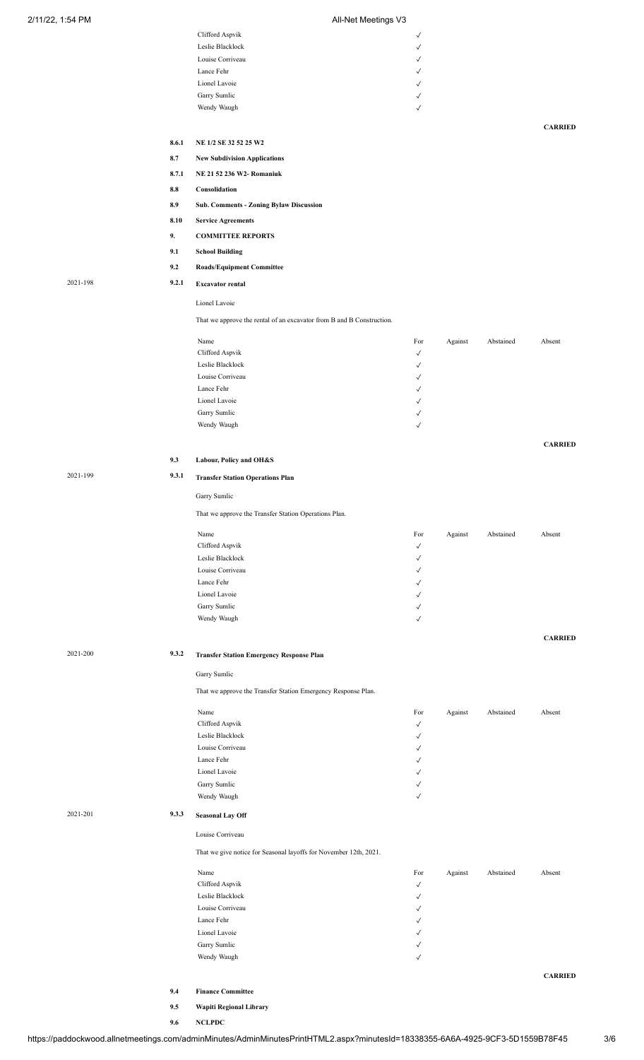| 2/11/22, 1:54 PM |          |       | All-Net Meetings V3                                                   |                   |         |           |                |
|------------------|----------|-------|-----------------------------------------------------------------------|-------------------|---------|-----------|----------------|
|                  |          |       | Clifford Aspvik                                                       | $\checkmark$      |         |           |                |
|                  |          |       | Leslie Blacklock                                                      | √                 |         |           |                |
|                  |          |       | Louise Corriveau<br>Lance Fehr                                        | √<br>√            |         |           |                |
|                  |          |       | Lionel Lavoie                                                         | √                 |         |           |                |
|                  |          |       | Garry Sumlic                                                          | $\checkmark$      |         |           |                |
|                  |          |       | Wendy Waugh                                                           | $\checkmark$      |         |           |                |
|                  |          | 8.6.1 |                                                                       |                   |         |           | <b>CARRIED</b> |
|                  |          | 8.7   | NE 1/2 SE 32 52 25 W2                                                 |                   |         |           |                |
|                  |          |       | <b>New Subdivision Applications</b>                                   |                   |         |           |                |
|                  |          | 8.7.1 | NE 21 52 236 W2-Romaniuk                                              |                   |         |           |                |
|                  |          | 8.8   | Consolidation                                                         |                   |         |           |                |
|                  |          | 8.9   | <b>Sub. Comments - Zoning Bylaw Discussion</b>                        |                   |         |           |                |
|                  |          | 8.10  | <b>Service Agreements</b>                                             |                   |         |           |                |
|                  |          | 9.    | <b>COMMITTEE REPORTS</b>                                              |                   |         |           |                |
|                  |          | 9.1   | <b>School Building</b>                                                |                   |         |           |                |
|                  |          | 9.2   | <b>Roads/Equipment Committee</b>                                      |                   |         |           |                |
|                  | 2021-198 | 9.2.1 | <b>Excavator rental</b>                                               |                   |         |           |                |
|                  |          |       | Lionel Lavoie                                                         |                   |         |           |                |
|                  |          |       | That we approve the rental of an excavator from B and B Construction. |                   |         |           |                |
|                  |          |       | Name                                                                  | For               | Against | Abstained | Absent         |
|                  |          |       | Clifford Aspvik                                                       | √                 |         |           |                |
|                  |          |       | Leslie Blacklock<br>Louise Corriveau                                  | √<br>√            |         |           |                |
|                  |          |       | Lance Fehr                                                            | √                 |         |           |                |
|                  |          |       | Lionel Lavoie                                                         | ✓                 |         |           |                |
|                  |          |       | Garry Sumlic                                                          | √                 |         |           |                |
|                  |          |       | Wendy Waugh                                                           | $\checkmark$      |         |           |                |
|                  |          |       |                                                                       |                   |         |           | <b>CARRIED</b> |
|                  |          | 9.3   | Labour, Policy and OH&S                                               |                   |         |           |                |
|                  | 2021-199 | 9.3.1 | <b>Transfer Station Operations Plan</b>                               |                   |         |           |                |
|                  |          |       | Garry Sumlic                                                          |                   |         |           |                |
|                  |          |       | That we approve the Transfer Station Operations Plan.                 |                   |         |           |                |
|                  |          |       | Name                                                                  | For               | Against | Abstained | Absent         |
|                  |          |       | Clifford Aspvik                                                       | ✓                 |         |           |                |
|                  |          |       | Leslie Blacklock<br>Louise Corriveau                                  | √<br>√            |         |           |                |
|                  |          |       | Lance Fehr                                                            | √                 |         |           |                |
|                  |          |       | Lionel Lavoie                                                         | √                 |         |           |                |
|                  |          |       | Garry Sumlic                                                          | √                 |         |           |                |
|                  |          |       | Wendy Waugh                                                           | $\checkmark$      |         |           |                |
|                  |          |       |                                                                       |                   |         |           | <b>CARRIED</b> |
|                  | 2021-200 | 9.3.2 | <b>Transfer Station Emergency Response Plan</b>                       |                   |         |           |                |
|                  |          |       | Garry Sumlic                                                          |                   |         |           |                |
|                  |          |       | That we approve the Transfer Station Emergency Response Plan.         |                   |         |           |                |
|                  |          |       | Name                                                                  | For               | Against | Abstained | Absent         |
|                  |          |       | Clifford Aspvik<br>Leslie Blacklock                                   | ✓                 |         |           |                |
|                  |          |       | Louise Corriveau                                                      | √<br>✓            |         |           |                |
|                  |          |       | Lance Fehr                                                            | √                 |         |           |                |
|                  |          |       | Lionel Lavoie                                                         | √                 |         |           |                |
|                  |          |       | Garry Sumlic<br>Wendy Waugh                                           | √<br>$\checkmark$ |         |           |                |
|                  | 2021-201 | 9.3.3 | <b>Seasonal Lay Off</b>                                               |                   |         |           |                |
|                  |          |       | Louise Corriveau                                                      |                   |         |           |                |
|                  |          |       | That we give notice for Seasonal layoffs for November 12th, 2021.     |                   |         |           |                |
|                  |          |       |                                                                       |                   |         |           |                |
|                  |          |       | Name<br>Clifford Aspvik                                               | For<br>√          | Against | Abstained | Absent         |
|                  |          |       | Leslie Blacklock                                                      | √                 |         |           |                |
|                  |          |       | Louise Corriveau                                                      | ✓                 |         |           |                |
|                  |          |       | Lance Fehr                                                            | √                 |         |           |                |
|                  |          |       | Lionel Lavoie<br>Garry Sumlic                                         | √<br>√            |         |           |                |
|                  |          |       | Wendy Waugh                                                           | $\checkmark$      |         |           |                |
|                  |          |       |                                                                       |                   |         |           | <b>CARRIED</b> |
|                  |          | 9.4   | <b>Finance Committee</b>                                              |                   |         |           |                |

https://paddockwood.allnetmeetings.com/adminMinutes/AdminMinutesPrintHTML2.aspx?minutesId=18338355-6A6A-4925-9CF3-5D1559B78F45 3/6

**9.5 Wapiti Regional Library**

**9.6 NCLPDC**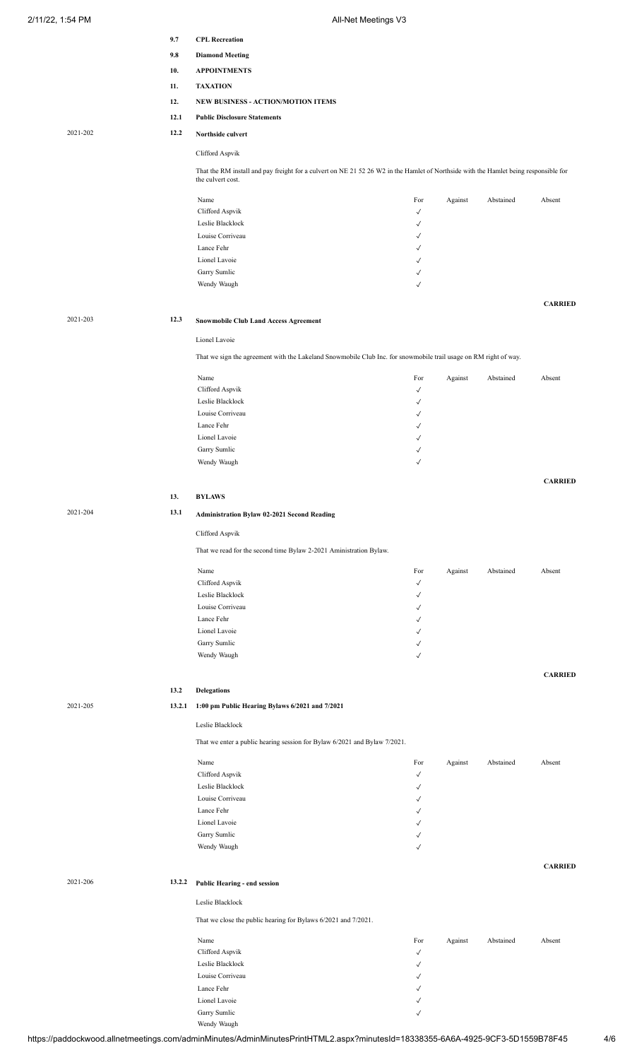|          | 9.7    | <b>CPL Recreation</b>                                                                                                                                     |                              |         |           |                |
|----------|--------|-----------------------------------------------------------------------------------------------------------------------------------------------------------|------------------------------|---------|-----------|----------------|
|          |        |                                                                                                                                                           |                              |         |           |                |
|          | 9.8    | <b>Diamond Meeting</b>                                                                                                                                    |                              |         |           |                |
|          | 10.    | <b>APPOINTMENTS</b>                                                                                                                                       |                              |         |           |                |
|          | 11.    | <b>TAXATION</b>                                                                                                                                           |                              |         |           |                |
|          | 12.    | NEW BUSINESS - ACTION/MOTION ITEMS                                                                                                                        |                              |         |           |                |
|          |        |                                                                                                                                                           |                              |         |           |                |
|          | 12.1   | <b>Public Disclosure Statements</b>                                                                                                                       |                              |         |           |                |
| 2021-202 | 12.2   | Northside culvert                                                                                                                                         |                              |         |           |                |
|          |        | Clifford Aspvik                                                                                                                                           |                              |         |           |                |
|          |        |                                                                                                                                                           |                              |         |           |                |
|          |        | That the RM install and pay freight for a culvert on NE 21 52 26 W2 in the Hamlet of Northside with the Hamlet being responsible for<br>the culvert cost. |                              |         |           |                |
|          |        |                                                                                                                                                           |                              |         |           |                |
|          |        | Name                                                                                                                                                      | For                          | Against | Abstained | Absent         |
|          |        | Clifford Aspvik                                                                                                                                           | $\checkmark$                 |         |           |                |
|          |        | Leslie Blacklock                                                                                                                                          | $\checkmark$                 |         |           |                |
|          |        | Louise Corriveau                                                                                                                                          | √                            |         |           |                |
|          |        | Lance Fehr                                                                                                                                                | $\checkmark$                 |         |           |                |
|          |        | Lionel Lavoie                                                                                                                                             | ✓                            |         |           |                |
|          |        | Garry Sumlic                                                                                                                                              | √                            |         |           |                |
|          |        | Wendy Waugh                                                                                                                                               | $\checkmark$                 |         |           |                |
|          |        |                                                                                                                                                           |                              |         |           | <b>CARRIED</b> |
| 2021-203 | 12.3   | <b>Snowmobile Club Land Access Agreement</b>                                                                                                              |                              |         |           |                |
|          |        |                                                                                                                                                           |                              |         |           |                |
|          |        | Lionel Lavoie                                                                                                                                             |                              |         |           |                |
|          |        | That we sign the agreement with the Lakeland Snowmobile Club Inc. for snowmobile trail usage on RM right of way.                                          |                              |         |           |                |
|          |        |                                                                                                                                                           |                              |         |           |                |
|          |        | Name                                                                                                                                                      | For                          | Against | Abstained | Absent         |
|          |        | Clifford Aspvik                                                                                                                                           | $\checkmark$                 |         |           |                |
|          |        | Leslie Blacklock                                                                                                                                          | $\checkmark$                 |         |           |                |
|          |        | Louise Corriveau                                                                                                                                          | $\checkmark$                 |         |           |                |
|          |        | Lance Fehr                                                                                                                                                | $\checkmark$                 |         |           |                |
|          |        | Lionel Lavoie                                                                                                                                             | √                            |         |           |                |
|          |        | Garry Sumlic<br>Wendy Waugh                                                                                                                               | $\checkmark$<br>$\checkmark$ |         |           |                |
|          |        |                                                                                                                                                           |                              |         |           |                |
|          |        |                                                                                                                                                           |                              |         |           | <b>CARRIED</b> |
|          | 13.    | <b>BYLAWS</b>                                                                                                                                             |                              |         |           |                |
| 2021-204 | 13.1   |                                                                                                                                                           |                              |         |           |                |
|          |        | <b>Administration Bylaw 02-2021 Second Reading</b>                                                                                                        |                              |         |           |                |
|          |        | Clifford Aspvik                                                                                                                                           |                              |         |           |                |
|          |        | That we read for the second time Bylaw 2-2021 Aministration Bylaw.                                                                                        |                              |         |           |                |
|          |        |                                                                                                                                                           |                              |         |           |                |
|          |        | Name                                                                                                                                                      | For                          | Against | Abstained | Absent         |
|          |        | Clifford Aspvik                                                                                                                                           | $\checkmark$                 |         |           |                |
|          |        | Leslie Blacklock                                                                                                                                          | $\checkmark$                 |         |           |                |
|          |        | Louise Corriveau                                                                                                                                          | $\checkmark$                 |         |           |                |
|          |        | Lance Fehr                                                                                                                                                | ✓                            |         |           |                |
|          |        | Lionel Lavoie                                                                                                                                             | ✓                            |         |           |                |
|          |        | Garry Sumlic                                                                                                                                              | ✓                            |         |           |                |
|          |        | Wendy Waugh                                                                                                                                               | $\checkmark$                 |         |           |                |
|          |        |                                                                                                                                                           |                              |         |           | <b>CARRIED</b> |
|          | 13.2   | <b>Delegations</b>                                                                                                                                        |                              |         |           |                |
|          |        |                                                                                                                                                           |                              |         |           |                |
| 2021-205 | 13.2.1 | 1:00 pm Public Hearing Bylaws 6/2021 and 7/2021                                                                                                           |                              |         |           |                |
|          |        | Leslie Blacklock                                                                                                                                          |                              |         |           |                |
|          |        |                                                                                                                                                           |                              |         |           |                |
|          |        | That we enter a public hearing session for Bylaw 6/2021 and Bylaw 7/2021.                                                                                 |                              |         |           |                |
|          |        | Name                                                                                                                                                      | For                          | Against | Abstained | Absent         |
|          |        | Clifford Aspvik                                                                                                                                           | $\checkmark$                 |         |           |                |
|          |        | Leslie Blacklock                                                                                                                                          | ✓                            |         |           |                |
|          |        | Louise Corriveau                                                                                                                                          | √                            |         |           |                |
|          |        | Lance Fehr                                                                                                                                                | √                            |         |           |                |
|          |        | Lionel Lavoie                                                                                                                                             | ✓                            |         |           |                |
|          |        | Garry Sumlic                                                                                                                                              | √                            |         |           |                |
|          |        | Wendy Waugh                                                                                                                                               | $\checkmark$                 |         |           |                |
|          |        |                                                                                                                                                           |                              |         |           | <b>CARRIED</b> |
| 2021-206 | 13.2.2 |                                                                                                                                                           |                              |         |           |                |
|          |        | Public Hearing - end session                                                                                                                              |                              |         |           |                |
|          |        | Leslie Blacklock                                                                                                                                          |                              |         |           |                |
|          |        | That we close the public hearing for Bylaws 6/2021 and 7/2021.                                                                                            |                              |         |           |                |
|          |        |                                                                                                                                                           |                              |         |           |                |
|          |        | Name                                                                                                                                                      | For                          | Against | Abstained | Absent         |
|          |        | Clifford Aspvik                                                                                                                                           | $\checkmark$                 |         |           |                |
|          |        | Leslie Blacklock                                                                                                                                          | $\checkmark$                 |         |           |                |
|          |        | Louise Corriveau                                                                                                                                          | $\checkmark$                 |         |           |                |
|          |        | Lance Fehr                                                                                                                                                | √                            |         |           |                |
|          |        | Lionel Lavoie                                                                                                                                             | ✓                            |         |           |                |

Garry Sumlic  $\checkmark$ 

Wendy Waugh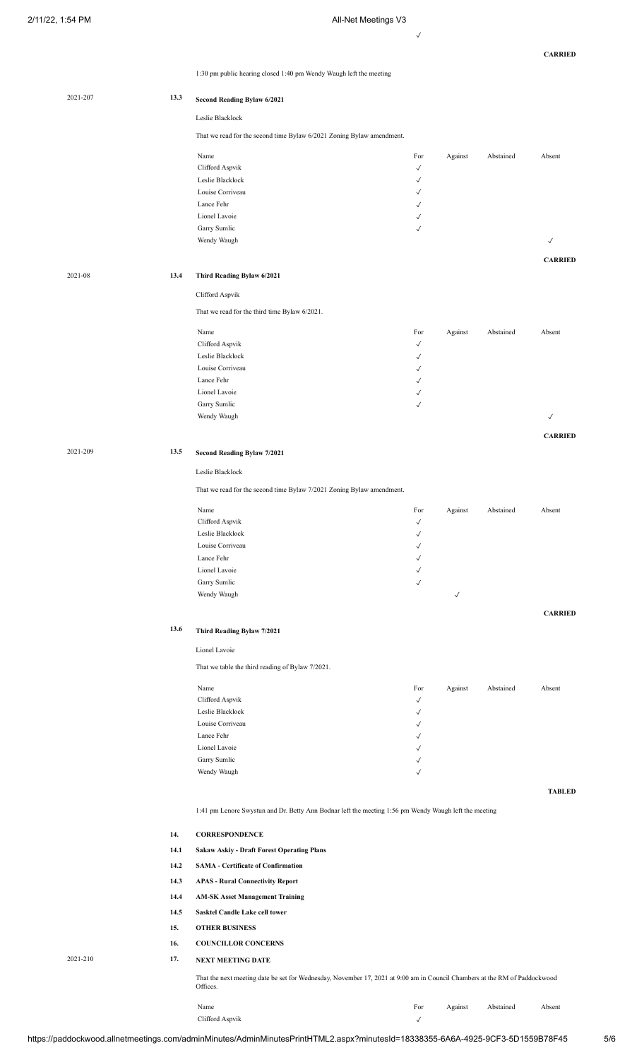✓

**CARRIED**

1:30 pm public hearing closed 1:40 pm Wendy Waugh left the meeting

| 2021-207 | 13.3 | Second Reading Bylaw 6/2021                                                                                                |                              |              |           |                |
|----------|------|----------------------------------------------------------------------------------------------------------------------------|------------------------------|--------------|-----------|----------------|
|          |      | Leslie Blacklock                                                                                                           |                              |              |           |                |
|          |      | That we read for the second time Bylaw 6/2021 Zoning Bylaw amendment.                                                      |                              |              |           |                |
|          |      |                                                                                                                            |                              |              |           |                |
|          |      | Name                                                                                                                       | For                          | Against      | Abstained | Absent         |
|          |      | Clifford Aspvik<br>Leslie Blacklock                                                                                        | $\checkmark$<br>$\checkmark$ |              |           |                |
|          |      | Louise Corriveau                                                                                                           | √                            |              |           |                |
|          |      | Lance Fehr                                                                                                                 | $\checkmark$                 |              |           |                |
|          |      | Lionel Lavoie                                                                                                              | √                            |              |           |                |
|          |      | Garry Sumlic                                                                                                               | √                            |              |           |                |
|          |      | Wendy Waugh                                                                                                                |                              |              |           | $\checkmark$   |
|          |      |                                                                                                                            |                              |              |           | <b>CARRIED</b> |
| 2021-08  | 13.4 |                                                                                                                            |                              |              |           |                |
|          |      | Third Reading Bylaw 6/2021                                                                                                 |                              |              |           |                |
|          |      | Clifford Aspvik                                                                                                            |                              |              |           |                |
|          |      | That we read for the third time Bylaw 6/2021.                                                                              |                              |              |           |                |
|          |      | Name                                                                                                                       | For                          | Against      | Abstained | Absent         |
|          |      | Clifford Aspvik                                                                                                            | $\checkmark$                 |              |           |                |
|          |      | Leslie Blacklock                                                                                                           | $\checkmark$                 |              |           |                |
|          |      | Louise Corriveau                                                                                                           | √                            |              |           |                |
|          |      | Lance Fehr                                                                                                                 | √                            |              |           |                |
|          |      | Lionel Lavoie                                                                                                              | √                            |              |           |                |
|          |      | Garry Sumlic                                                                                                               | $\checkmark$                 |              |           |                |
|          |      | Wendy Waugh                                                                                                                |                              |              |           | $\checkmark$   |
|          |      |                                                                                                                            |                              |              |           | <b>CARRIED</b> |
| 2021-209 | 13.5 |                                                                                                                            |                              |              |           |                |
|          |      | Second Reading Bylaw 7/2021                                                                                                |                              |              |           |                |
|          |      | Leslie Blacklock                                                                                                           |                              |              |           |                |
|          |      | That we read for the second time Bylaw 7/2021 Zoning Bylaw amendment.                                                      |                              |              |           |                |
|          |      | Name                                                                                                                       | For                          | Against      | Abstained | Absent         |
|          |      | Clifford Aspvik                                                                                                            | $\checkmark$                 |              |           |                |
|          |      | Leslie Blacklock                                                                                                           | √                            |              |           |                |
|          |      | Louise Corriveau                                                                                                           | $\checkmark$                 |              |           |                |
|          |      | Lance Fehr                                                                                                                 | $\checkmark$                 |              |           |                |
|          |      | Lionel Lavoie                                                                                                              | $\checkmark$                 |              |           |                |
|          |      | Garry Sumlic                                                                                                               | $\checkmark$                 |              |           |                |
|          |      | Wendy Waugh                                                                                                                |                              | $\checkmark$ |           |                |
|          |      |                                                                                                                            |                              |              |           | <b>CARRIED</b> |
|          | 13.6 | Third Reading Bylaw 7/2021                                                                                                 |                              |              |           |                |
|          |      |                                                                                                                            |                              |              |           |                |
|          |      | Lionel Lavoie                                                                                                              |                              |              |           |                |
|          |      | That we table the third reading of Bylaw 7/2021.                                                                           |                              |              |           |                |
|          |      | Name                                                                                                                       | For                          | Against      | Abstained | Absent         |
|          |      | Clifford Aspvik                                                                                                            | $\checkmark$                 |              |           |                |
|          |      | Leslie Blacklock                                                                                                           | $\checkmark$                 |              |           |                |
|          |      | Louise Corriveau                                                                                                           | $\checkmark$                 |              |           |                |
|          |      | Lance Fehr                                                                                                                 | $\checkmark$                 |              |           |                |
|          |      | Lionel Lavoie                                                                                                              | $\checkmark$<br>$\checkmark$ |              |           |                |
|          |      | Garry Sumlic<br>Wendy Waugh                                                                                                | $\checkmark$                 |              |           |                |
|          |      |                                                                                                                            |                              |              |           |                |
|          |      |                                                                                                                            |                              |              |           | <b>TABLED</b>  |
|          |      | 1:41 pm Lenore Swystun and Dr. Betty Ann Bodnar left the meeting 1:56 pm Wendy Waugh left the meeting                      |                              |              |           |                |
|          |      |                                                                                                                            |                              |              |           |                |
|          | 14.  | <b>CORRESPONDENCE</b>                                                                                                      |                              |              |           |                |
|          | 14.1 | <b>Sakaw Askiy - Draft Forest Operating Plans</b>                                                                          |                              |              |           |                |
|          | 14.2 | <b>SAMA - Certificate of Confirmation</b>                                                                                  |                              |              |           |                |
|          | 14.3 | <b>APAS - Rural Connectivity Report</b>                                                                                    |                              |              |           |                |
|          | 14.4 | <b>AM-SK Asset Management Training</b>                                                                                     |                              |              |           |                |
|          | 14.5 | Sasktel Candle Lake cell tower                                                                                             |                              |              |           |                |
|          | 15.  | <b>OTHER BUSINESS</b>                                                                                                      |                              |              |           |                |
|          |      |                                                                                                                            |                              |              |           |                |
|          | 16.  | <b>COUNCILLOR CONCERNS</b>                                                                                                 |                              |              |           |                |
| 2021-210 | 17.  | <b>NEXT MEETING DATE</b>                                                                                                   |                              |              |           |                |
|          |      | That the next meeting date be set for Wednesday, November 17, 2021 at 9:00 am in Council Chambers at the RM of Paddockwood |                              |              |           |                |
|          |      | Offices.                                                                                                                   |                              |              |           |                |

https://paddockwood.allnetmeetings.com/adminMinutes/AdminMinutesPrintHTML2.aspx?minutesId=18338355-6A6A-4925-9CF3-5D1559B78F45 5/6

Clifford Aspvik  $\hspace{0.1 cm} \checkmark$ 

Name **For** Against Abstained Absent